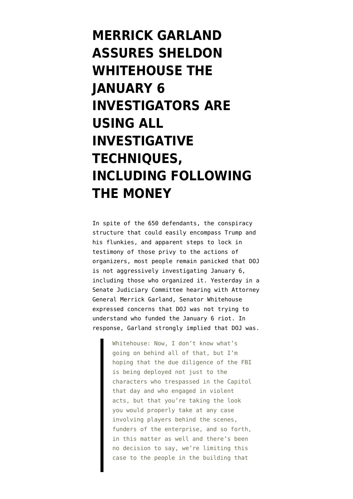**[MERRICK GARLAND](https://www.emptywheel.net/2021/10/28/merrick-garland-assures-sheldon-whitehouse-the-january-6-investigators-are-using-all-investigative-techniques-including-following-the-money/) [ASSURES SHELDON](https://www.emptywheel.net/2021/10/28/merrick-garland-assures-sheldon-whitehouse-the-january-6-investigators-are-using-all-investigative-techniques-including-following-the-money/) [WHITEHOUSE THE](https://www.emptywheel.net/2021/10/28/merrick-garland-assures-sheldon-whitehouse-the-january-6-investigators-are-using-all-investigative-techniques-including-following-the-money/) [JANUARY 6](https://www.emptywheel.net/2021/10/28/merrick-garland-assures-sheldon-whitehouse-the-january-6-investigators-are-using-all-investigative-techniques-including-following-the-money/) [INVESTIGATORS ARE](https://www.emptywheel.net/2021/10/28/merrick-garland-assures-sheldon-whitehouse-the-january-6-investigators-are-using-all-investigative-techniques-including-following-the-money/) [USING ALL](https://www.emptywheel.net/2021/10/28/merrick-garland-assures-sheldon-whitehouse-the-january-6-investigators-are-using-all-investigative-techniques-including-following-the-money/) [INVESTIGATIVE](https://www.emptywheel.net/2021/10/28/merrick-garland-assures-sheldon-whitehouse-the-january-6-investigators-are-using-all-investigative-techniques-including-following-the-money/) [TECHNIQUES,](https://www.emptywheel.net/2021/10/28/merrick-garland-assures-sheldon-whitehouse-the-january-6-investigators-are-using-all-investigative-techniques-including-following-the-money/) [INCLUDING FOLLOWING](https://www.emptywheel.net/2021/10/28/merrick-garland-assures-sheldon-whitehouse-the-january-6-investigators-are-using-all-investigative-techniques-including-following-the-money/) [THE MONEY](https://www.emptywheel.net/2021/10/28/merrick-garland-assures-sheldon-whitehouse-the-january-6-investigators-are-using-all-investigative-techniques-including-following-the-money/)**

In spite of [the 650 defendants,](https://extremism.gwu.edu/Capitol-Hill-Cases) [the conspiracy](https://www.emptywheel.net/2021/08/19/how-a-trump-prosecution-for-january-6-would-work/) [structure that could easily encompass Trump](https://www.emptywheel.net/2021/08/19/how-a-trump-prosecution-for-january-6-would-work/) and his flunkies, and apparent steps to [lock in](https://www.emptywheel.net/2021/08/23/stop-the-steal-hints-of-the-january-5-rallies-in-the-january-6-riot-investigation/) [testimony](https://www.emptywheel.net/2021/08/23/stop-the-steal-hints-of-the-january-5-rallies-in-the-january-6-riot-investigation/) of those privy to the actions of organizers, most people remain panicked that DOJ is not aggressively investigating January 6, including those who organized it. Yesterday in a Senate Judiciary Committee hearing with Attorney General Merrick Garland, Senator Whitehouse expressed concerns that DOJ was not trying to understand who funded the January 6 riot. In response, Garland strongly implied that DOJ was.

> Whitehouse: Now, I don't know what's going on behind all of that, but I'm hoping that the due diligence of the FBI is being deployed not just to the characters who trespassed in the Capitol that day and who engaged in violent acts, but that you're taking the look you would properly take at any case involving players behind the scenes, funders of the enterprise, and so forth, in this matter as well and there's been no decision to say, we're limiting this case to the people in the building that